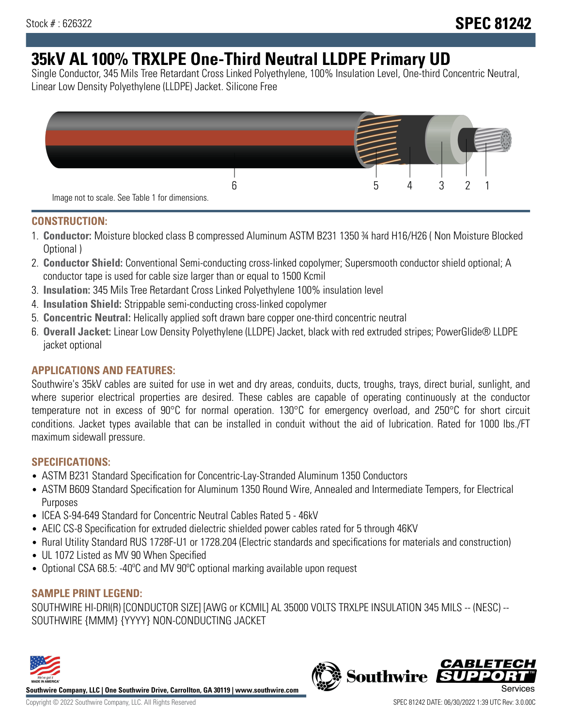# **35kV AL 100% TRXLPE One-Third Neutral LLDPE Primary UD**

Single Conductor, 345 Mils Tree Retardant Cross Linked Polyethylene, 100% Insulation Level, One-third Concentric Neutral, Linear Low Density Polyethylene (LLDPE) Jacket. Silicone Free



### **CONSTRUCTION:**

- 1. **Conductor:** Moisture blocked class B compressed Aluminum ASTM B231 1350 ¾ hard H16/H26 ( Non Moisture Blocked Optional )
- 2. **Conductor Shield:** Conventional Semi-conducting cross-linked copolymer; Supersmooth conductor shield optional; A conductor tape is used for cable size larger than or equal to 1500 Kcmil
- 3. **Insulation:** 345 Mils Tree Retardant Cross Linked Polyethylene 100% insulation level
- 4. **Insulation Shield:** Strippable semi-conducting cross-linked copolymer
- 5. **Concentric Neutral:** Helically applied soft drawn bare copper one-third concentric neutral
- 6. **Overall Jacket:** Linear Low Density Polyethylene (LLDPE) Jacket, black with red extruded stripes; PowerGlide® LLDPE jacket optional

# **APPLICATIONS AND FEATURES:**

Southwire's 35kV cables are suited for use in wet and dry areas, conduits, ducts, troughs, trays, direct burial, sunlight, and where superior electrical properties are desired. These cables are capable of operating continuously at the conductor temperature not in excess of 90°C for normal operation. 130°C for emergency overload, and 250°C for short circuit conditions. Jacket types available that can be installed in conduit without the aid of lubrication. Rated for 1000 lbs./FT maximum sidewall pressure.

# **SPECIFICATIONS:**

- ASTM B231 Standard Specification for Concentric-Lay-Stranded Aluminum 1350 Conductors
- ASTM B609 Standard Specification for Aluminum 1350 Round Wire, Annealed and Intermediate Tempers, for Electrical Purposes
- ICEA S-94-649 Standard for Concentric Neutral Cables Rated 5 46kV
- AEIC CS-8 Specification for extruded dielectric shielded power cables rated for 5 through 46KV
- Rural Utility Standard RUS 1728F-U1 or 1728.204 (Electric standards and specifications for materials and construction)
- UL 1072 Listed as MV 90 When Specified
- Optional CSA 68.5: -40ºC and MV 90ºC optional marking available upon request

# **SAMPLE PRINT LEGEND:**

SOUTHWIRE HI-DRI(R) [CONDUCTOR SIZE] [AWG or KCMIL] AL 35000 VOLTS TRXLPE INSULATION 345 MILS -- (NESC) -- SOUTHWIRE {MMM} {YYYY} NON-CONDUCTING JACKET



**Southwire Company, LLC | One Southwire Drive, Carrollton, GA 30119 | www.southwire.com**

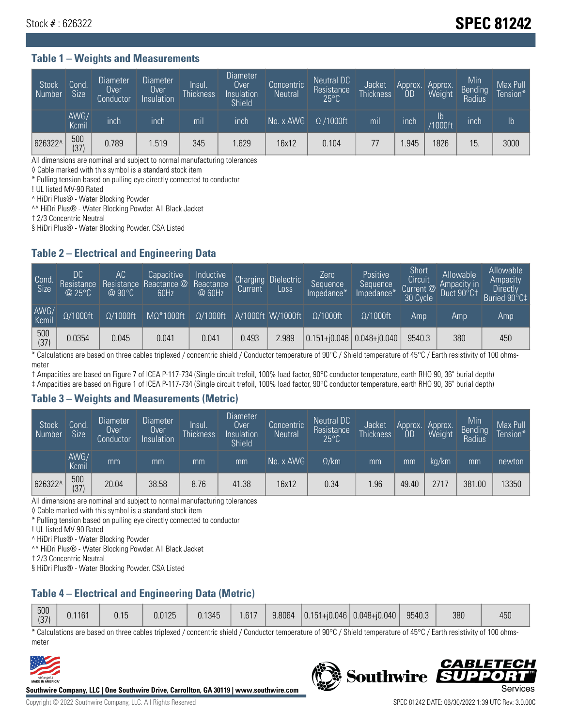# Stock # : 626322 **SPEC 81242**

### **Table 1 – Weights and Measurements**

| <b>Stock</b><br>Number | Cond.<br>Size <sup>1</sup> | <b>Diameter</b><br>Over<br>Conductor | <b>Diameter</b><br>Over<br>Insulation | Insul.<br><b>Thickness</b> | <b>Diameter</b><br>Over<br>Insulation<br><b>Shield</b> | Concentric<br><b>Neutral</b> | Neutral DC<br>Resistance<br>$25^{\circ}$ C | Jacket<br><b>Thickness</b> | Approx.<br><b>OD</b> | Approx.<br>Weight        | Min<br>Bending<br>Radius | Max Pull<br>Tension* |
|------------------------|----------------------------|--------------------------------------|---------------------------------------|----------------------------|--------------------------------------------------------|------------------------------|--------------------------------------------|----------------------------|----------------------|--------------------------|--------------------------|----------------------|
|                        | AWG/<br>Kcmil              | inch                                 | inch                                  | mıl                        | inch                                                   | No. $x$ AWG                  | $\Omega$ /1000ft                           | mil                        | inch                 | $\mathsf{lb}$<br>/1000ft | inch                     | $\mathsf{lb}$        |
| 626322^                | 500<br>(37)                | 0.789                                | 1.519                                 | 345                        | .629                                                   | 16x12                        | 0.104                                      | 77                         | .945                 | 826                      | 15                       | 3000                 |

All dimensions are nominal and subject to normal manufacturing tolerances

◊ Cable marked with this symbol is a standard stock item

\* Pulling tension based on pulling eye directly connected to conductor

! UL listed MV-90 Rated

^ HiDri Plus® - Water Blocking Powder

^^ HiDri Plus® - Water Blocking Powder. All Black Jacket

† 2/3 Concentric Neutral

§ HiDri Plus® - Water Blocking Powder. CSA Listed

### **Table 2 – Electrical and Engineering Data**

| Cond.<br>Size      | 'DC.<br>Resistance<br>$@$ 25°C $^{\prime\prime}$ | АC<br>Resistance<br>$\oslash$ 90°C | Capacitive<br>Reactance @<br>60Hz | Inductive<br>Reactance<br>@ 60Hz | <b>Charging</b><br>Current | <b>Dielectric</b><br>Loss | Zero<br>Sequence<br>Impedance* | Positive<br>Sequence<br>Impedance <sup>®</sup> | Short<br>Circuit<br>Current <sup>@</sup><br>30 Cycle | Allowable<br>Ampacity in<br>Duct 90°C1 | Allowable<br>Ampacity<br>Directly<br>Buried 90°C‡ |
|--------------------|--------------------------------------------------|------------------------------------|-----------------------------------|----------------------------------|----------------------------|---------------------------|--------------------------------|------------------------------------------------|------------------------------------------------------|----------------------------------------|---------------------------------------------------|
| AWG/<br>Kcmil      | $\Omega/1000$ ft                                 | $\Omega/1000$ ft                   | $M\Omega^*1000$ ft                | $\Omega/1000$ ft                 |                            | A/1000ft W/1000ft         | $\Omega/1000$ ft               | $\Omega$ /1000ft                               | Amp                                                  | Amp                                    | Amp                                               |
| $\frac{500}{(37)}$ | 0.0354                                           | 0.045                              | 0.041                             | 0.041                            | 0.493                      | 2.989                     |                                | $0.151 + 0.046$ 0.048+0.040                    | 9540.3                                               | 380                                    | 450                                               |

\* Calculations are based on three cables triplexed / concentric shield / Conductor temperature of 90°C / Shield temperature of 45°C / Earth resistivity of 100 ohmsmeter

† Ampacities are based on Figure 7 of ICEA P-117-734 (Single circuit trefoil, 100% load factor, 90°C conductor temperature, earth RHO 90, 36" burial depth)

‡ Ampacities are based on Figure 1 of ICEA P-117-734 (Single circuit trefoil, 100% load factor, 90°C conductor temperature, earth RHO 90, 36" burial depth)

#### **Table 3 – Weights and Measurements (Metric)**

| Stock<br>Number | Cond.<br>Size <sup>1</sup> | Diameter<br>Over<br>Conductor | <b>Diameter</b><br>Over<br>Insulation | Insul.<br><b>Thickness</b> | <b>Diameter</b><br>Over <sup>'</sup><br>Insulation<br><b>Shield</b> | Concentric<br>Neutral | Neutral DC<br>Resistance<br>$25^{\circ}$ C | Jacket<br><b>Thickness</b> | Approx.<br><b>OD</b> | Approx.<br>Weight | Min<br>Bending<br>Radius | Max Pull<br>Tension* |
|-----------------|----------------------------|-------------------------------|---------------------------------------|----------------------------|---------------------------------------------------------------------|-----------------------|--------------------------------------------|----------------------------|----------------------|-------------------|--------------------------|----------------------|
|                 | AWG/<br>Kcmil              | mm                            | mm                                    | mm                         | mm                                                                  | No. x AWG             | $\Omega$ /km                               | mm                         | mm                   | ka/km             | mm                       | newton               |
| 626322^         | 500<br>(37)                | 20.04                         | 38.58                                 | 8.76                       | 41.38                                                               | 16x12                 | 0.34                                       | .96                        | 49.40                | 2717              | 381.00                   | 13350                |

All dimensions are nominal and subject to normal manufacturing tolerances

◊ Cable marked with this symbol is a standard stock item

\* Pulling tension based on pulling eye directly connected to conductor

! UL listed MV-90 Rated

^ HiDri Plus® - Water Blocking Powder

^^ HiDri Plus® - Water Blocking Powder. All Black Jacket

† 2/3 Concentric Neutral

§ HiDri Plus® - Water Blocking Powder. CSA Listed

# **Table 4 – Electrical and Engineering Data (Metric)**

| 500<br>(27) | 0.1161 | 0.15 | 0.0125 | 0.1345 | .617 | 9.8064 | $ 0.151 + i0.046 $ | $  0.048 + 0.040  $ | 9540.3 | 380 | 450 |
|-------------|--------|------|--------|--------|------|--------|--------------------|---------------------|--------|-----|-----|
| 107         |        |      |        |        |      |        |                    |                     |        |     |     |

\* Calculations are based on three cables triplexed / concentric shield / Conductor temperature of 90°C / Shield temperature of 45°C / Earth resistivity of 100 ohmsmeter



**Southwire Company, LLC | One Southwire Drive, Carrollton, GA 30119 | www.southwire.com**